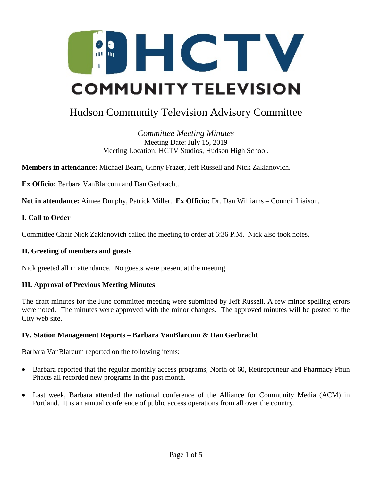

# Hudson Community Television Advisory Committee

*Committee Meeting Minutes* Meeting Date: July 15, 2019 Meeting Location: HCTV Studios, Hudson High School.

**Members in attendance:** Michael Beam, Ginny Frazer, Jeff Russell and Nick Zaklanovich.

**Ex Officio:** Barbara VanBlarcum and Dan Gerbracht.

**Not in attendance:** Aimee Dunphy, Patrick Miller. **Ex Officio:** Dr. Dan Williams – Council Liaison.

#### **I. Call to Order**

Committee Chair Nick Zaklanovich called the meeting to order at 6:36 P.M. Nick also took notes.

#### **II. Greeting of members and guests**

Nick greeted all in attendance. No guests were present at the meeting.

#### **III. Approval of Previous Meeting Minutes**

The draft minutes for the June committee meeting were submitted by Jeff Russell. A few minor spelling errors were noted. The minutes were approved with the minor changes. The approved minutes will be posted to the City web site.

#### **IV. Station Management Reports – Barbara VanBlarcum & Dan Gerbracht**

Barbara VanBlarcum reported on the following items:

- Barbara reported that the regular monthly access programs, North of 60, Retirepreneur and Pharmacy Phun Phacts all recorded new programs in the past month.
- Last week, Barbara attended the national conference of the Alliance for Community Media (ACM) in Portland. It is an annual conference of public access operations from all over the country.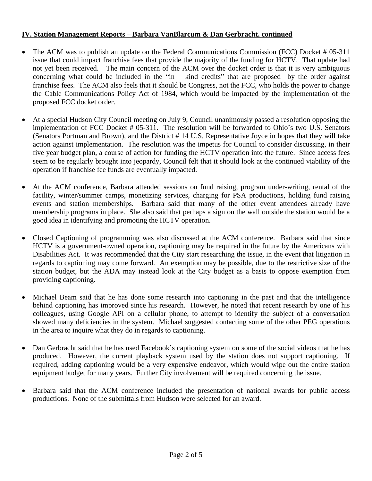# **IV. Station Management Reports – Barbara VanBlarcum & Dan Gerbracht, continued**

- The ACM was to publish an update on the Federal Communications Commission (FCC) Docket # 05-311 issue that could impact franchise fees that provide the majority of the funding for HCTV. That update had not yet been received. The main concern of the ACM over the docket order is that it is very ambiguous concerning what could be included in the "in – kind credits" that are proposed by the order against franchise fees. The ACM also feels that it should be Congress, not the FCC, who holds the power to change the Cable Communications Policy Act of 1984, which would be impacted by the implementation of the proposed FCC docket order.
- At a special Hudson City Council meeting on July 9, Council unanimously passed a resolution opposing the implementation of FCC Docket # 05-311. The resolution will be forwarded to Ohio's two U.S. Senators (Senators Portman and Brown), and the District # 14 U.S. Representative Joyce in hopes that they will take action against implementation. The resolution was the impetus for Council to consider discussing, in their five year budget plan, a course of action for funding the HCTV operation into the future. Since access fees seem to be regularly brought into jeopardy, Council felt that it should look at the continued viability of the operation if franchise fee funds are eventually impacted.
- At the ACM conference, Barbara attended sessions on fund raising, program under-writing, rental of the facility, winter/summer camps, monetizing services, charging for PSA productions, holding fund raising events and station memberships. Barbara said that many of the other event attendees already have membership programs in place. She also said that perhaps a sign on the wall outside the station would be a good idea in identifying and promoting the HCTV operation.
- Closed Captioning of programming was also discussed at the ACM conference. Barbara said that since HCTV is a government-owned operation, captioning may be required in the future by the Americans with Disabilities Act. It was recommended that the City start researching the issue, in the event that litigation in regards to captioning may come forward. An exemption may be possible, due to the restrictive size of the station budget, but the ADA may instead look at the City budget as a basis to oppose exemption from providing captioning.
- Michael Beam said that he has done some research into captioning in the past and that the intelligence behind captioning has improved since his research. However, he noted that recent research by one of his colleagues, using Google API on a cellular phone, to attempt to identify the subject of a conversation showed many deficiencies in the system. Michael suggested contacting some of the other PEG operations in the area to inquire what they do in regards to captioning.
- Dan Gerbracht said that he has used Facebook's captioning system on some of the social videos that he has produced. However, the current playback system used by the station does not support captioning. If required, adding captioning would be a very expensive endeavor, which would wipe out the entire station equipment budget for many years. Further City involvement will be required concerning the issue.
- Barbara said that the ACM conference included the presentation of national awards for public access productions. None of the submittals from Hudson were selected for an award.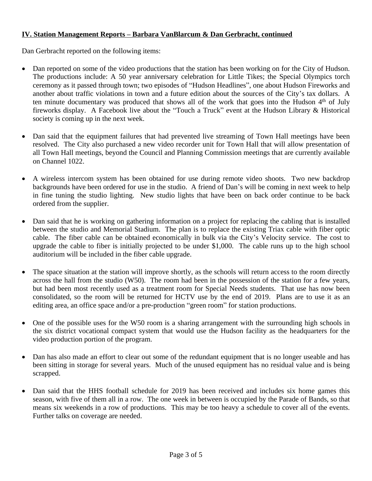# **IV. Station Management Reports – Barbara VanBlarcum & Dan Gerbracht, continued**

Dan Gerbracht reported on the following items:

- Dan reported on some of the video productions that the station has been working on for the City of Hudson. The productions include: A 50 year anniversary celebration for Little Tikes; the Special Olympics torch ceremony as it passed through town; two episodes of "Hudson Headlines", one about Hudson Fireworks and another about traffic violations in town and a future edition about the sources of the City's tax dollars. A ten minute documentary was produced that shows all of the work that goes into the Hudson 4<sup>th</sup> of July fireworks display. A Facebook live about the "Touch a Truck" event at the Hudson Library & Historical society is coming up in the next week.
- Dan said that the equipment failures that had prevented live streaming of Town Hall meetings have been resolved. The City also purchased a new video recorder unit for Town Hall that will allow presentation of all Town Hall meetings, beyond the Council and Planning Commission meetings that are currently available on Channel 1022.
- A wireless intercom system has been obtained for use during remote video shoots. Two new backdrop backgrounds have been ordered for use in the studio. A friend of Dan's will be coming in next week to help in fine tuning the studio lighting. New studio lights that have been on back order continue to be back ordered from the supplier.
- Dan said that he is working on gathering information on a project for replacing the cabling that is installed between the studio and Memorial Stadium. The plan is to replace the existing Triax cable with fiber optic cable. The fiber cable can be obtained economically in bulk via the City's Velocity service. The cost to upgrade the cable to fiber is initially projected to be under \$1,000. The cable runs up to the high school auditorium will be included in the fiber cable upgrade.
- The space situation at the station will improve shortly, as the schools will return access to the room directly across the hall from the studio (W50). The room had been in the possession of the station for a few years, but had been most recently used as a treatment room for Special Needs students. That use has now been consolidated, so the room will be returned for HCTV use by the end of 2019. Plans are to use it as an editing area, an office space and/or a pre-production "green room" for station productions.
- One of the possible uses for the W50 room is a sharing arrangement with the surrounding high schools in the six district vocational compact system that would use the Hudson facility as the headquarters for the video production portion of the program.
- Dan has also made an effort to clear out some of the redundant equipment that is no longer useable and has been sitting in storage for several years. Much of the unused equipment has no residual value and is being scrapped.
- Dan said that the HHS football schedule for 2019 has been received and includes six home games this season, with five of them all in a row. The one week in between is occupied by the Parade of Bands, so that means six weekends in a row of productions. This may be too heavy a schedule to cover all of the events. Further talks on coverage are needed.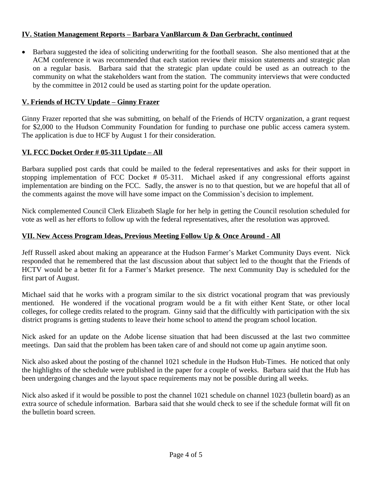# **IV. Station Management Reports – Barbara VanBlarcum & Dan Gerbracht, continued**

 Barbara suggested the idea of soliciting underwriting for the football season. She also mentioned that at the ACM conference it was recommended that each station review their mission statements and strategic plan on a regular basis. Barbara said that the strategic plan update could be used as an outreach to the community on what the stakeholders want from the station. The community interviews that were conducted by the committee in 2012 could be used as starting point for the update operation.

# **V. Friends of HCTV Update – Ginny Frazer**

Ginny Frazer reported that she was submitting, on behalf of the Friends of HCTV organization, a grant request for \$2,000 to the Hudson Community Foundation for funding to purchase one public access camera system. The application is due to HCF by August 1 for their consideration.

# **VI. FCC Docket Order # 05-311 Update – All**

Barbara supplied post cards that could be mailed to the federal representatives and asks for their support in stopping implementation of FCC Docket # 05-311. Michael asked if any congressional efforts against implementation are binding on the FCC. Sadly, the answer is no to that question, but we are hopeful that all of the comments against the move will have some impact on the Commission's decision to implement.

Nick complemented Council Clerk Elizabeth Slagle for her help in getting the Council resolution scheduled for vote as well as her efforts to follow up with the federal representatives, after the resolution was approved.

# **VII. New Access Program Ideas, Previous Meeting Follow Up & Once Around - All**

Jeff Russell asked about making an appearance at the Hudson Farmer's Market Community Days event. Nick responded that he remembered that the last discussion about that subject led to the thought that the Friends of HCTV would be a better fit for a Farmer's Market presence. The next Community Day is scheduled for the first part of August.

Michael said that he works with a program similar to the six district vocational program that was previously mentioned. He wondered if the vocational program would be a fit with either Kent State, or other local colleges, for college credits related to the program. Ginny said that the difficultly with participation with the six district programs is getting students to leave their home school to attend the program school location.

Nick asked for an update on the Adobe license situation that had been discussed at the last two committee meetings. Dan said that the problem has been taken care of and should not come up again anytime soon.

Nick also asked about the posting of the channel 1021 schedule in the Hudson Hub-Times. He noticed that only the highlights of the schedule were published in the paper for a couple of weeks. Barbara said that the Hub has been undergoing changes and the layout space requirements may not be possible during all weeks.

Nick also asked if it would be possible to post the channel 1021 schedule on channel 1023 (bulletin board) as an extra source of schedule information. Barbara said that she would check to see if the schedule format will fit on the bulletin board screen.